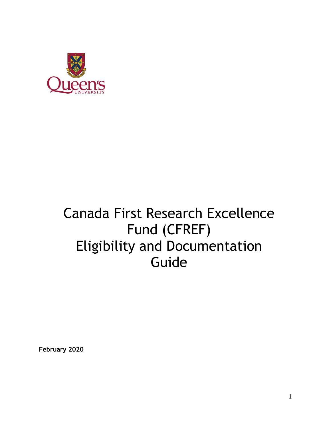

# Canada First Research Excellence Fund (CFREF) Eligibility and Documentation Guide

**February 2020**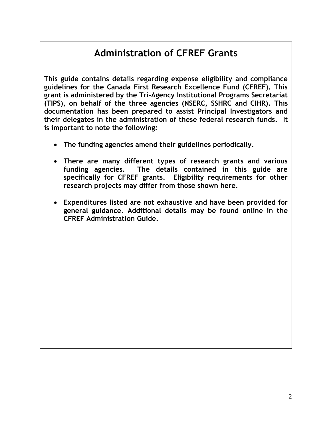### **Administration of CFREF Grants**

**This guide contains details regarding expense eligibility and compliance guidelines for the Canada First Research Excellence Fund (CFREF). This grant is administered by the Tri-Agency Institutional Programs Secretariat (TIPS), on behalf of the three agencies (NSERC, SSHRC and CIHR). This documentation has been prepared to assist Principal Investigators and their delegates in the administration of these federal research funds. It is important to note the following:**

- **The funding agencies amend their guidelines periodically.**
- **There are many different types of research grants and various funding agencies. The details contained in this guide are specifically for CFREF grants. Eligibility requirements for other research projects may differ from those shown here.**
- **Expenditures listed are not exhaustive and have been provided for general guidance. Additional details may be found online in the CFREF Administration Guide.**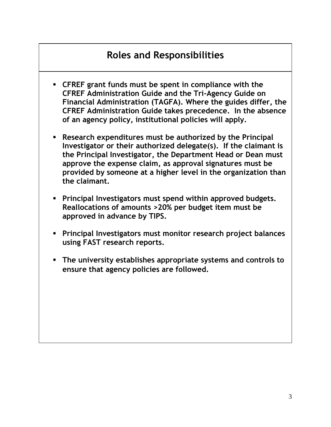### **Roles and Responsibilities**

- **CFREF grant funds must be spent in compliance with the CFREF Administration Guide and the Tri-Agency Guide on Financial Administration (TAGFA). Where the guides differ, the CFREF Administration Guide takes precedence. In the absence of an agency policy, institutional policies will apply.**
- **Research expenditures must be authorized by the Principal Investigator or their authorized delegate(s). If the claimant is the Principal Investigator, the Department Head or Dean must approve the expense claim, as approval signatures must be provided by someone at a higher level in the organization than the claimant.**
- **Principal Investigators must spend within approved budgets. Reallocations of amounts >20% per budget item must be approved in advance by TIPS.**
- **Principal Investigators must monitor research project balances using FAST research reports.**
- **The university establishes appropriate systems and controls to ensure that agency policies are followed.**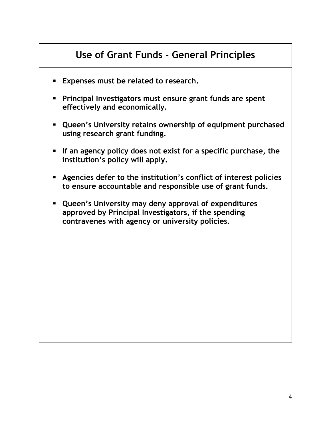### **Use of Grant Funds - General Principles**

- **Expenses must be related to research.**
- **Principal Investigators must ensure grant funds are spent effectively and economically.**
- **Queen's University retains ownership of equipment purchased using research grant funding.**
- **If an agency policy does not exist for a specific purchase, the institution's policy will apply.**
- **Agencies defer to the institution's conflict of interest policies to ensure accountable and responsible use of grant funds.**
- **Queen's University may deny approval of expenditures approved by Principal Investigators, if the spending contravenes with agency or university policies.**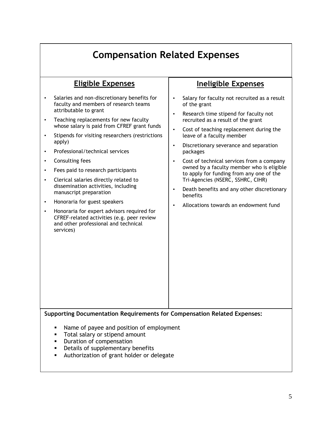# **Compensation Related Expenses**

| <b>Eligible Expenses</b>                                                                                                                                                                                                                                                                                                                                                                                                                                                                                                                                                                                                                                                                                                                                                            | <b>Ineligible Expenses</b>                                                                                                                                                                                                                                                                                                                                                                                                                                                                                                                                                                                                            |  |
|-------------------------------------------------------------------------------------------------------------------------------------------------------------------------------------------------------------------------------------------------------------------------------------------------------------------------------------------------------------------------------------------------------------------------------------------------------------------------------------------------------------------------------------------------------------------------------------------------------------------------------------------------------------------------------------------------------------------------------------------------------------------------------------|---------------------------------------------------------------------------------------------------------------------------------------------------------------------------------------------------------------------------------------------------------------------------------------------------------------------------------------------------------------------------------------------------------------------------------------------------------------------------------------------------------------------------------------------------------------------------------------------------------------------------------------|--|
| Salaries and non-discretionary benefits for<br>faculty and members of research teams<br>attributable to grant<br>Teaching replacements for new faculty<br>$\bullet$<br>whose salary is paid from CFREF grant funds<br>Stipends for visiting researchers (restrictions<br>apply)<br>Professional/technical services<br>Consulting fees<br>Fees paid to research participants<br>Clerical salaries directly related to<br>dissemination activities, including<br>manuscript preparation<br>Honoraria for guest speakers<br>$\bullet$<br>Honoraria for expert advisors required for<br>$\bullet$<br>CFREF-related activities (e.g. peer review<br>and other professional and technical<br>services)<br><b>Supporting Documentation Requirements for Compensation Related Expenses:</b> | Salary for faculty not recruited as a result<br>of the grant<br>Research time stipend for faculty not<br>$\bullet$<br>recruited as a result of the grant<br>Cost of teaching replacement during the<br>$\bullet$<br>leave of a faculty member<br>Discretionary severance and separation<br>$\bullet$<br>packages<br>Cost of technical services from a company<br>$\bullet$<br>owned by a faculty member who is eligible<br>to apply for funding from any one of the<br>Tri-Agencies (NSERC, SSHRC, CIHR)<br>Death benefits and any other discretionary<br>$\bullet$<br>benefits<br>Allocations towards an endowment fund<br>$\bullet$ |  |
| Name of payee and position of employment<br>٠<br>Total salary or stipend amount<br>п<br>Duration of compensation<br>Details of supplementary benefits<br>Authorization of grant holder or delegate<br>٠                                                                                                                                                                                                                                                                                                                                                                                                                                                                                                                                                                             |                                                                                                                                                                                                                                                                                                                                                                                                                                                                                                                                                                                                                                       |  |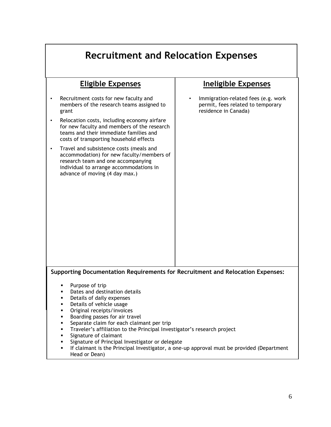| <b>Recruitment and Relocation Expenses</b>                                                                                                                                                                                                                                                                                                                                                                                                  |                                                                                                  |  |
|---------------------------------------------------------------------------------------------------------------------------------------------------------------------------------------------------------------------------------------------------------------------------------------------------------------------------------------------------------------------------------------------------------------------------------------------|--------------------------------------------------------------------------------------------------|--|
| <b>Eligible Expenses</b>                                                                                                                                                                                                                                                                                                                                                                                                                    | <b>Ineligible Expenses</b>                                                                       |  |
| Recruitment costs for new faculty and<br>members of the research teams assigned to<br>grant                                                                                                                                                                                                                                                                                                                                                 | Immigration-related fees (e.g. work<br>permit, fees related to temporary<br>residence in Canada) |  |
| Relocation costs, including economy airfare<br>for new faculty and members of the research<br>teams and their immediate families and<br>costs of transporting household effects                                                                                                                                                                                                                                                             |                                                                                                  |  |
| Travel and subsistence costs (meals and<br>accommodation) for new faculty/members of<br>research team and one accompanying<br>individual to arrange accommodations in<br>advance of moving (4 day max.)                                                                                                                                                                                                                                     |                                                                                                  |  |
|                                                                                                                                                                                                                                                                                                                                                                                                                                             |                                                                                                  |  |
|                                                                                                                                                                                                                                                                                                                                                                                                                                             |                                                                                                  |  |
|                                                                                                                                                                                                                                                                                                                                                                                                                                             |                                                                                                  |  |
| Supporting Documentation Requirements for Recruitment and Relocation Expenses:                                                                                                                                                                                                                                                                                                                                                              |                                                                                                  |  |
| Purpose of trip<br>Dates and destination details<br>٠<br>Details of daily expenses<br>٠<br>Details of vehicle usage<br>٠<br>Original receipts/invoices<br>٠<br>Boarding passes for air travel<br>٠<br>Separate claim for each claimant per trip<br>٠<br>Traveler's affiliation to the Principal Investigator's research project<br>٠<br>Signature of claimant<br>٠<br>Signature of Principal Investigator or delegate<br>٠<br>Head or Dean) | If claimant is the Principal Investigator, a one-up approval must be provided (Department        |  |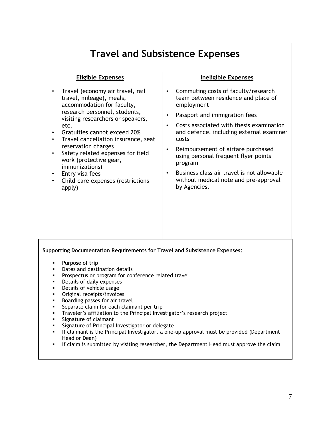| <b>Travel and Subsistence Expenses</b>                                                                                                                                                                                                                                                                                                                                                                                                                                                                                                                                                                                                                                                      |                                                                                                                                                                                                                                                                                                                                                                                                                                                                                |  |
|---------------------------------------------------------------------------------------------------------------------------------------------------------------------------------------------------------------------------------------------------------------------------------------------------------------------------------------------------------------------------------------------------------------------------------------------------------------------------------------------------------------------------------------------------------------------------------------------------------------------------------------------------------------------------------------------|--------------------------------------------------------------------------------------------------------------------------------------------------------------------------------------------------------------------------------------------------------------------------------------------------------------------------------------------------------------------------------------------------------------------------------------------------------------------------------|--|
| <b>Eligible Expenses</b>                                                                                                                                                                                                                                                                                                                                                                                                                                                                                                                                                                                                                                                                    | <b>Ineligible Expenses</b>                                                                                                                                                                                                                                                                                                                                                                                                                                                     |  |
| Travel (economy air travel, rail<br>$\bullet$<br>travel, mileage), meals,<br>accommodation for faculty,<br>research personnel, students,<br>visiting researchers or speakers,<br>etc.<br>Gratuities cannot exceed 20%<br>Travel cancellation insurance, seat<br>reservation charges<br>Safety related expenses for field<br>$\bullet$<br>work (protective gear,<br>immunizations)<br>Entry visa fees<br>Child-care expenses (restrictions<br>apply)                                                                                                                                                                                                                                         | Commuting costs of faculty/research<br>$\bullet$<br>team between residence and place of<br>employment<br>Passport and immigration fees<br>Costs associated with thesis examination<br>$\bullet$<br>and defence, including external examiner<br>costs<br>Reimbursement of airfare purchased<br>$\bullet$<br>using personal frequent flyer points<br>program<br>Business class air travel is not allowable<br>$\bullet$<br>without medical note and pre-approval<br>by Agencies. |  |
| <b>Supporting Documentation Requirements for Travel and Subsistence Expenses:</b>                                                                                                                                                                                                                                                                                                                                                                                                                                                                                                                                                                                                           |                                                                                                                                                                                                                                                                                                                                                                                                                                                                                |  |
| Purpose of trip<br>Dates and destination details<br>Prospectus or program for conference related travel<br>Details of daily expenses<br>٠<br>Details of vehicle usage<br>٠<br>Original receipts/invoices<br>Boarding passes for air travel<br>٠<br>Separate claim for each claimant per trip<br>٠<br>Traveler's affiliation to the Principal Investigator's research project<br>٠<br>Signature of claimant<br>٠<br>Signature of Principal Investigator or delegate<br>٠<br>If claimant is the Principal Investigator, a one-up approval must be provided (Department<br>٠<br>Head or Dean)<br>If claim is submitted by visiting researcher, the Department Head must approve the claim<br>٠ |                                                                                                                                                                                                                                                                                                                                                                                                                                                                                |  |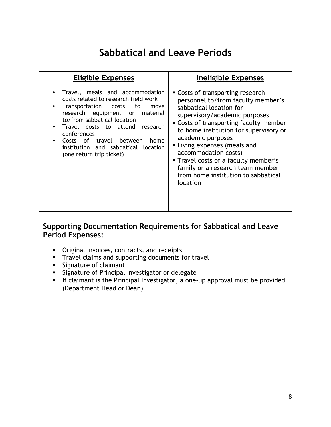| <b>Eligible Expenses</b><br>Ineligible Expenses<br>Travel, meals and accommodation<br>• Costs of transporting research<br>$\bullet$<br>costs related to research field work<br>personnel to/from faculty member's<br>Transportation<br>costs<br>to<br>$\bullet$<br>move<br>sabbatical location for<br>research equipment<br>material<br>or<br>supervisory/academic purposes<br>to/from sabbatical location<br>• Costs of transporting faculty member<br>Travel costs to attend<br>research<br>to home institution for supervisory or<br>conferences<br>academic purposes<br>Costs of travel between<br>home<br>Living expenses (meals and<br>institution and sabbatical location<br>accommodation costs)<br>(one return trip ticket)<br>Travel costs of a faculty member's<br>family or a research team member<br>from home institution to sabbatical<br>location | <b>Sabbatical and Leave Periods</b> |  |  |
|-------------------------------------------------------------------------------------------------------------------------------------------------------------------------------------------------------------------------------------------------------------------------------------------------------------------------------------------------------------------------------------------------------------------------------------------------------------------------------------------------------------------------------------------------------------------------------------------------------------------------------------------------------------------------------------------------------------------------------------------------------------------------------------------------------------------------------------------------------------------|-------------------------------------|--|--|
|                                                                                                                                                                                                                                                                                                                                                                                                                                                                                                                                                                                                                                                                                                                                                                                                                                                                   |                                     |  |  |
|                                                                                                                                                                                                                                                                                                                                                                                                                                                                                                                                                                                                                                                                                                                                                                                                                                                                   |                                     |  |  |

#### **Supporting Documentation Requirements for Sabbatical and Leave Period Expenses:**

- Original invoices, contracts, and receipts
- **Travel claims and supporting documents for travel**
- $\blacksquare$  Signature of claimant
- **Signature of Principal Investigator or delegate**
- If claimant is the Principal Investigator, a one-up approval must be provided (Department Head or Dean)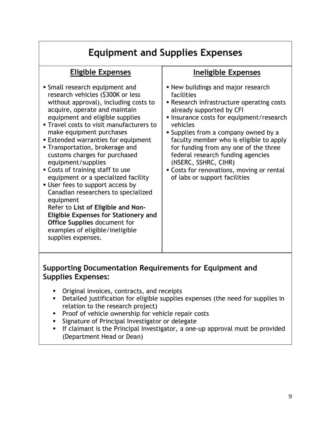## **Equipment and Supplies Expenses**

#### **Eligible Expenses**

- Small research equipment and research vehicles (\$300K or less without approval), including costs to acquire, operate and maintain equipment and eligible supplies
- Travel costs to visit manufacturers to make equipment purchases
- Extended warranties for equipment
- Transportation, brokerage and customs charges for purchased equipment/supplies
- Costs of training staff to use equipment or a specialized facility
- **User fees to support access by** Canadian researchers to specialized equipment Refer to **List of Eligible and Non-Eligible Expenses for Stationery and Office Supplies** document for examples of eligible/ineligible supplies expenses.

#### **Ineligible Expenses**

- New buildings and major research facilities
- Research infrastructure operating costs already supported by CFI
- **Insurance costs for equipment/research** vehicles
- **Supplies from a company owned by a** faculty member who is eligible to apply for funding from any one of the three federal research funding agencies (NSERC, SSHRC, CIHR)
- Costs for renovations, moving or rental of labs or support facilities

#### **Supporting Documentation Requirements for Equipment and Supplies Expenses:**

- Original invoices, contracts, and receipts
- Detailed justification for eligible supplies expenses (the need for supplies in relation to the research project)
- Proof of vehicle ownership for vehicle repair costs
- Signature of Principal Investigator or delegate
- If claimant is the Principal Investigator, a one-up approval must be provided (Department Head or Dean)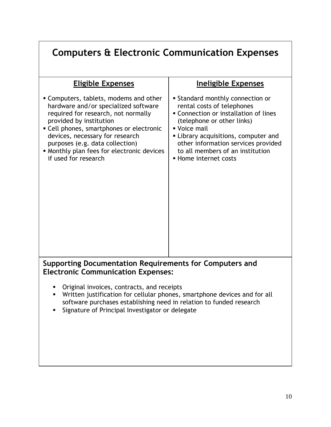| <b>Computers &amp; Electronic Communication Expenses</b>                                                                                                                                                                                                                                                                                 |                                                                                                                                                                                                                                                                                                        |  |
|------------------------------------------------------------------------------------------------------------------------------------------------------------------------------------------------------------------------------------------------------------------------------------------------------------------------------------------|--------------------------------------------------------------------------------------------------------------------------------------------------------------------------------------------------------------------------------------------------------------------------------------------------------|--|
| <b>Eligible Expenses</b>                                                                                                                                                                                                                                                                                                                 | Ineligible Expenses                                                                                                                                                                                                                                                                                    |  |
| • Computers, tablets, modems and other<br>hardware and/or specialized software<br>required for research, not normally<br>provided by institution<br>• Cell phones, smartphones or electronic<br>devices, necessary for research<br>purposes (e.g. data collection)<br>• Monthly plan fees for electronic devices<br>if used for research | <b>Standard monthly connection or</b><br>rental costs of telephones<br>• Connection or installation of lines<br>(telephone or other links)<br>■ Voice mail<br>• Library acquisitions, computer and<br>other information services provided<br>to all members of an institution<br>• Home internet costs |  |
| Supporting Documentation Requirements for Computers and<br><b>Electronic Communication Expenses:</b>                                                                                                                                                                                                                                     |                                                                                                                                                                                                                                                                                                        |  |
| Original invoices, contracts, and receipts<br>Written justification for cellular phones, smartphone devices and for all<br>software purchases establishing need in relation to funded research<br>Signature of Principal Investigator or delegate<br>П                                                                                   |                                                                                                                                                                                                                                                                                                        |  |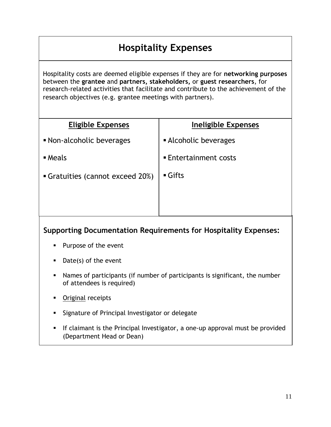### **Hospitality Expenses**

Hospitality costs are deemed eligible expenses if they are for **networking purposes** between the **grantee** and **partners, stakeholders,** or **guest researchers**, for research-related activities that facilitate and contribute to the achievement of the research objectives (e.g. grantee meetings with partners).

| <b>Eligible Expenses</b>       | Ineligible Expenses        |
|--------------------------------|----------------------------|
| • Non-alcoholic beverages      | • Alcoholic beverages      |
| $\blacksquare$ Meals           | <b>Entertainment costs</b> |
| Gratuities (cannot exceed 20%) | $\blacksquare$ Gifts       |
|                                |                            |
|                                |                            |

#### **Supporting Documentation Requirements for Hospitality Expenses:**

- **Purpose of the event**
- Date(s) of the event
- Names of participants (if number of participants is significant, the number of attendees is required)
- **Original receipts**
- **Signature of Principal Investigator or delegate**
- **If claimant is the Principal Investigator, a one-up approval must be provided** (Department Head or Dean)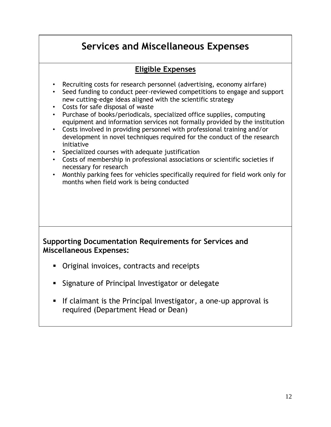### **Services and Miscellaneous Expenses**

#### **Eligible Expenses**

- Recruiting costs for research personnel (advertising, economy airfare)
- Seed funding to conduct peer-reviewed competitions to engage and support new cutting-edge ideas aligned with the scientific strategy
- Costs for safe disposal of waste
- Purchase of books/periodicals, specialized office supplies, computing equipment and information services not formally provided by the institution
- Costs involved in providing personnel with professional training and/or development in novel techniques required for the conduct of the research initiative
- Specialized courses with adequate justification
- Costs of membership in professional associations or scientific societies if necessary for research
- Monthly parking fees for vehicles specifically required for field work only for months when field work is being conducted

#### **Supporting Documentation Requirements for Services and Miscellaneous Expenses:**

- **•** Original invoices, contracts and receipts
- **Signature of Principal Investigator or delegate**
- If claimant is the Principal Investigator, a one-up approval is required (Department Head or Dean)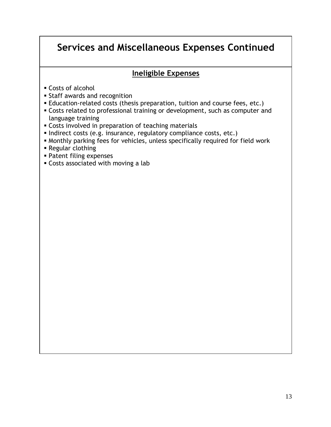### **Services and Miscellaneous Expenses Continued**

#### **Ineligible Expenses**

- Costs of alcohol
- Staff awards and recognition
- Education-related costs (thesis preparation, tuition and course fees, etc.)
- Costs related to professional training or development, such as computer and language training
- Costs involved in preparation of teaching materials
- Indirect costs (e.g. insurance, regulatory compliance costs, etc.)
- Monthly parking fees for vehicles, unless specifically required for field work
- Regular clothing
- Patent filing expenses
- Costs associated with moving a lab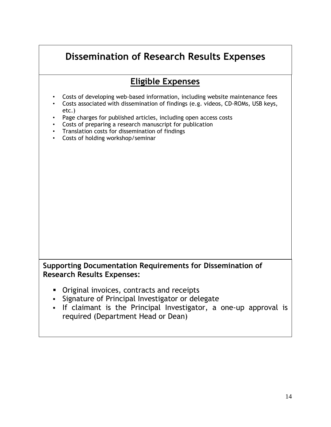### **Dissemination of Research Results Expenses**

### **Eligible Expenses**

- Costs of developing web-based information, including website maintenance fees
- Costs associated with dissemination of findings (e.g. videos, CD-ROMs, USB keys, etc.)
- Page charges for published articles, including open access costs
- Costs of preparing a research manuscript for publication
- Translation costs for dissemination of findings
- Costs of holding workshop/seminar

#### **Supporting Documentation Requirements for Dissemination of Research Results Expenses:**

- Original invoices, contracts and receipts
- Signature of Principal Investigator or delegate
- If claimant is the Principal Investigator, a one-up approval is required (Department Head or Dean)